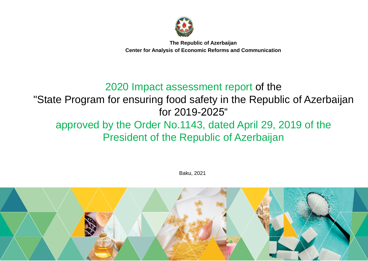

**The Republic of Azerbaijan Center for Analysis of Economic Reforms and Communication**

### 2020 Impact assessment report of the "State Program for ensuring food safety in the Republic of Azerbaijan for 2019-2025" approved by the Order No.1143, dated April 29, 2019 of the

# President of the Republic of Azerbaijan

Baku, 2021

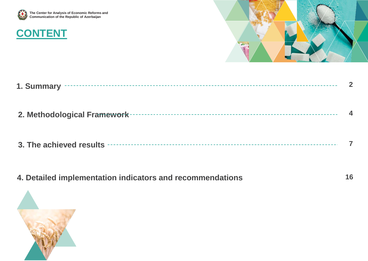

# **CONTENT**



**16**

| 1. Summary                   |  |
|------------------------------|--|
| 2. Methodological Framework- |  |
| 3. The achieved results -    |  |

**4. Detailed implementation indicators and recommendations**

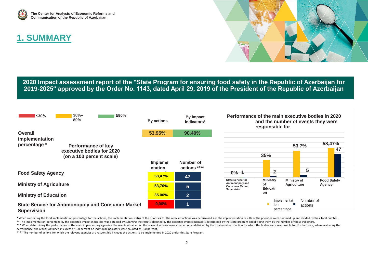

### **1. SUMMARY**



**2020 Impact assessment report of the "State Program for ensuring food safety in the Republic of Azerbaijan for 2019-2025" approved by the Order No. 1143, dated April 29, 2019 of the President of the Republic of Azerbaijan**



<sup>\*</sup> When calculating the total implementation percentage for the actions, the implementation status of the priorities for the relevant actions was determined and the implementation results of the priorities were summed up an

\*\* The implementation percentage by the expected impact indicators was obtained by summing the results obtained by the expected impact indicators determined by the state program and dividing them by the number of those ind

\*\*\* When determining the performance of the main implementing agencies, the results obtained on the relevant actions were summed up and divided by the total number of action for which the bodies were responsible for. Furth performance, the results obtained in excess of 100 percent on individual indicators were counted as 100 percent.

\*\*\*\* The number of actions for which the relevant agencies are responsible includes the actions to be implemented in 2020 under this State Program.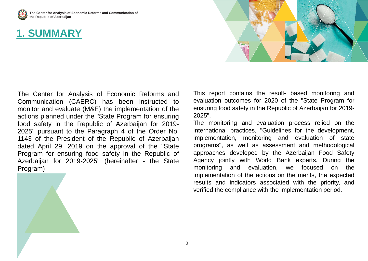

**The Center for Analysis of Economic Reforms and Communication of the Republic of Azerbaijan**

### **1. SUMMARY**



The Center for Analysis of Economic Reforms and Communication (CAERC) has been instructed to monitor and evaluate (M&E) the implementation of the actions planned under the "State Program for ensuring food safety in the Republic of Azerbaijan for 2019- 2025" pursuant to the Paragraph 4 of the Order No. 1143 of the President of the Republic of Azerbaijan dated April 29, 2019 on the approval of the "State Program for ensuring food safety in the Republic of Azerbaijan for 2019-2025" (hereinafter - the State Program)

This report contains the result- based monitoring and evaluation outcomes for 2020 of the "State Program for ensuring food safety in the Republic of Azerbaijan for 2019- 2025".

The monitoring and evaluation process relied on the international practices, "Guidelines for the development, implementation, monitoring and evaluation of state programs", as well as assessment and methodological approaches developed by the Azerbaijan Food Safety Agency jointly with World Bank experts. During the monitoring and evaluation, we focused on the implementation of the actions on the merits, the expected results and indicators associated with the priority, and verified the compliance with the implementation period.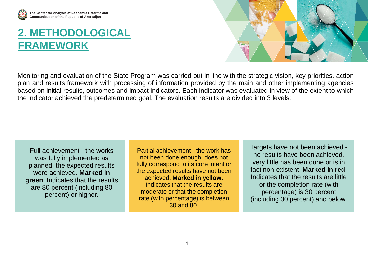

# **2. METHODOLOGICAL FRAMEWORK**



Monitoring and evaluation of the State Program was carried out in line with the strategic vision, key priorities, action plan and results framework with processing of information provided by the main and other implementing agencies based on initial results, outcomes and impact indicators. Each indicator was evaluated in view of the extent to which the indicator achieved the predetermined goal. The evaluation results are divided into 3 levels:

Full achievement - the works was fully implemented as planned, the expected results were achieved. **Marked in green**. Indicates that the results are 80 percent (including 80 percent) or higher.

Partial achievement - the work has not been done enough, does not fully correspond to its core intent or the expected results have not been achieved. **Marked in yellow**. Indicates that the results are moderate or that the completion rate (with percentage) is between 30 and 80.

Targets have not been achieved no results have been achieved, very little has been done or is in fact non-existent. **Marked in red**. Indicates that the results are little or the completion rate (with percentage) is 30 percent (including 30 percent) and below.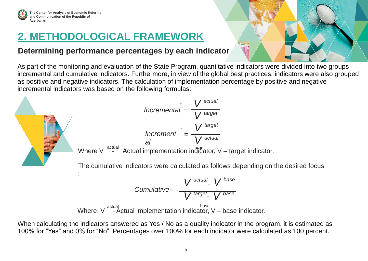

# **2. METHODOLOGICAL FRAMEWORK**

### **Determining performance percentages by each indicator**

As part of the monitoring and evaluation of the State Program, quantitative indicators were divided into two groups incremental and cumulative indicators. Furthermore, in view of the global best practices, indicators were also grouped as positive and negative indicators. The calculation of implementation percentage by positive and negative incremental indicators was based on the following formulas:



When calculating the indicators answered as Yes / No as a quality indicator in the program, it is estimated as 100% for "Yes" and 0% for "No". Percentages over 100% for each indicator were calculated as 100 percent.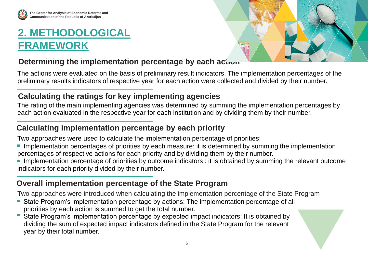

# **2. METHODOLOGICAL FRAMEWORK**



### **Determining the implementation percentage by each action.**

The actions were evaluated on the basis of preliminary result indicators. The implementation percentages of the preliminary results indicators of respective year for each action were collected and divided by their number.

### **Calculating the ratings for key implementing agencies**

The rating of the main implementing agencies was determined by summing the implementation percentages by each action evaluated in the respective year for each institution and by dividing them by their number.

### **Calculating implementation percentage by each priority**

Two approaches were used to calculate the implementation percentage of priorities:

- Implementation percentages of priorities by each measure: it is determined by summing the implementation percentages of respective actions for each priority and by dividing them by their number.
- Implementation percentage of priorities by outcome indicators : it is obtained by summing the relevant outcome indicators for each priority divided by their number.

### **Overall implementation percentage of the State Program**

Two approaches were introduced when calculating the implementation percentage of the State Program :

- State Program's implementation percentage by actions: The implementation percentage of all  $\left\vert \cdot \right\vert$ priorities by each action is summed to get the total number.
- State Program's implementation percentage by expected impact indicators: It is obtained by dividing the sum of expected impact indicators defined in the State Program for the relevant year by their total number.

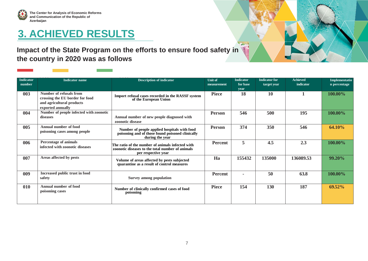

#### **Impact of the State Program on the efforts to ensure food safety in the country in 2020 was as follows**

| Indicator<br>number | <b>Indicator</b> name                                                                                        | <b>Description of indicator</b>                                                                                             | <b>Unit of</b><br>measurement | <b>Indicator</b><br>for base<br>year | <b>Indicator</b> for<br>target year | <b>Achieved</b><br>indicator | Implementatio<br>n percentage |
|---------------------|--------------------------------------------------------------------------------------------------------------|-----------------------------------------------------------------------------------------------------------------------------|-------------------------------|--------------------------------------|-------------------------------------|------------------------------|-------------------------------|
| 003                 | Number of refusals from<br>crossing the EU border for food<br>and agricultural products<br>exported annually | Import refusal cases recorded in the RASSF system<br>of the European Union                                                  | <b>Piece</b>                  | 18                                   | 10                                  |                              | 100.00%                       |
| 004                 | Number of people infected with zoonotic<br>diseases                                                          | Annual number of new people diagnosed with<br>zoonotic disease                                                              | <b>Person</b>                 | 546                                  | 500                                 | 195                          | 100.00%                       |
| 005                 | Annual number of food<br>poisoning cases among people                                                        | Number of people applied hospitals with food<br>poisoning and of those found poisoned clinically<br>during the year         | <b>Person</b>                 | 374                                  | <b>350</b>                          | 546                          | 64.10%                        |
| 006                 | Percentage of animals<br>infected with zoonotic diseases                                                     | The ratio of the number of animals infected with<br>zoonotic diseases to the total number of animals<br>per respective year | <b>Percent</b>                | 5                                    | 4.5                                 | 2.3                          | 100.00%                       |
| 007                 | Areas affected by pests                                                                                      | Volume of areas affected by pests subjected<br>quarantine as a result of control measures                                   | Ha                            | 155432                               | 135000                              | 136089.53                    | 99.20%                        |
| 009                 | Increased public trust in food<br>safety                                                                     | <b>Survey among population</b>                                                                                              | <b>Percent</b>                | $\blacksquare$                       | 50                                  | 63.8                         | 100.00%                       |
| 010                 | <b>Annual number of food</b><br>poisoning cases                                                              | Number of clinically confirmed cases of food<br>poisoning                                                                   | <b>Piece</b>                  | 154                                  | 130                                 | 187                          | $69.52\%$                     |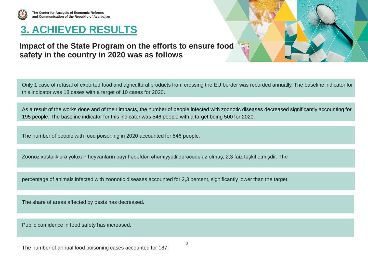

**The Center for Analysis of Economic Reforms and Communication of the Republic of Azerbaijan**

# **3. ACHIEVED RESULTS**

#### **Impact of the State Program on the efforts to ensure food safety in the country in 2020 was as follows**

Only 1 case of refusal of exported food and agricultural products from crossing the EU border was recorded annually. The baseline indicator for this indicator was 18 cases with a target of 10 cases for 2020.

As a result of the works done and of their impacts, the number of people infected with zoonotic diseases decreased significantly accounting for 195 people. The baseline indicator for this indicator was 546 people with a target being 500 for 2020.

The number of people with food poisoning in 2020 accounted for 546 people.

Zoonoz xəstəliklərə yoluxan heyvanların payı hədəfdən əhəmiyyətli dərəcədə az olmuş, 2,3 faiz təşkil etmişdir. The

percentage of animals infected with zoonotic diseases accounted for 2,3 percent, significantly lower than the target.

The share of areas affected by pests has decreased.

Public confidence in food safety has increased.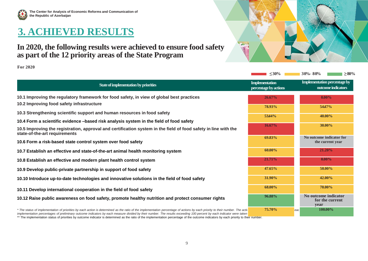

#### **In 2020, the following results were achieved to ensure food safety as part of the 12 priority areas of the State Program**

**For 2020**

|                                                                                                                                                                                                                                                                                                                                                         | $\leq 30\%$                                    | $30% - 80%$<br>$\geq\!\!80\%$                             |
|---------------------------------------------------------------------------------------------------------------------------------------------------------------------------------------------------------------------------------------------------------------------------------------------------------------------------------------------------------|------------------------------------------------|-----------------------------------------------------------|
| State of implementation by priorities                                                                                                                                                                                                                                                                                                                   | <b>Implementation</b><br>percentage by actions | <b>Implementation percentage by</b><br>outcome indicators |
| 10.1 Improving the regulatory framework for food safety, in view of global best practices                                                                                                                                                                                                                                                               | 26.67%                                         | $0.00\%$                                                  |
| 10.2 Improving food safety infrastructure                                                                                                                                                                                                                                                                                                               | 78.93%                                         | 5447%                                                     |
| 10.3 Strengthening scientific support and human resources in food safety                                                                                                                                                                                                                                                                                | 5344%                                          | 40.00%                                                    |
| 10.4 Form a scientific evidence -based risk analysis system in the field of food safety                                                                                                                                                                                                                                                                 |                                                |                                                           |
| 10.5 Improving the registration, approval and certification system in the field of food safety in line with the<br>state-of-the-art requirements                                                                                                                                                                                                        | 16.67%                                         | 30.00%                                                    |
| 10.6 Form a risk-based state control system over food safety                                                                                                                                                                                                                                                                                            | 69.83%                                         | No outcome indicator for<br>the current year              |
| 10.7 Establish an effective and state-of-the-art animal health monitoring system                                                                                                                                                                                                                                                                        | $60.00\%$                                      | 21.20%                                                    |
| 10.8 Establish an effective and modern plant health control system                                                                                                                                                                                                                                                                                      | 21.71%                                         | $0.00\%$                                                  |
| 10.9 Develop public-private partnership in support of food safety                                                                                                                                                                                                                                                                                       | $47.65\%$                                      | $50.00\%$                                                 |
| 10.10 Introduce up-to-date technologies and innovative solutions in the field of food safety                                                                                                                                                                                                                                                            | 31.90%                                         | 42.00%                                                    |
| 10.11 Develop international cooperation in the field of food safety                                                                                                                                                                                                                                                                                     | 68.00%                                         | 70.00%                                                    |
| 10.12 Raise public awareness on food safety, promote healthy nutrition and protect consumer rights                                                                                                                                                                                                                                                      | 96.88%                                         | No outcome indicator<br>for the current<br>year           |
| * The status of implementation of priorities by each action is determined as the ratio of the implementation percentage of actions by each priority to their number. The actiol<br>implementation percentages of preliminary outcome indicators by each measure divided by their number. The results exceeding 100 percent by each indicator were taken | 75.70%                                         | 100.00%<br>eac                                            |

\*\* The implementation status of priorities by outcome indicator is determined as the ratio of the implementation percentage of the outcome indicators by each priority to their number.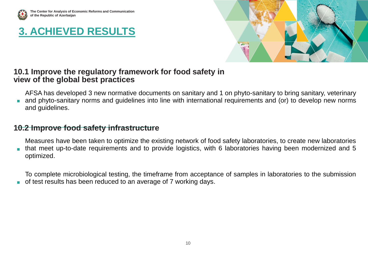



#### **10.1 Improve the regulatory framework for food safety in view of the global best practices**

AFSA has developed 3 new normative documents on sanitary and 1 on phyto-sanitary to bring sanitary, veterinary

and phyto-sanitary norms and guidelines into line with international requirements and (or) to develop new norms and guidelines.

#### **10.2 Improve food safety infrastructure**

Measures have been taken to optimize the existing network of food safety laboratories, to create new laboratories that meet up-to-date requirements and to provide logistics, with 6 laboratories having been modernized and 5 optimized.

To complete microbiological testing, the timeframe from acceptance of samples in laboratories to the submission

of test results has been reduced to an average of 7 working days. F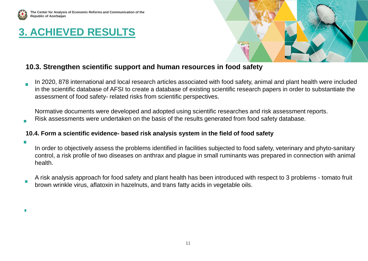



#### **10.3. Strengthen scientific support and human resources in food safety**

In 2020, 878 international and local research articles associated with food safety, animal and plant health were included in the scientific database of AFSI to create a database of existing scientific research papers in order to substantiate the assessment of food safety- related risks from scientific perspectives.

Normative documents were developed and adopted using scientific researches and risk assessment reports. Risk assessments were undertaken on the basis of the results generated from food safety database.

#### **10.4. Form a scientific evidence- based risk analysis system in the field of food safety**

In order to objectively assess the problems identified in facilities subjected to food safety, veterinary and phyto-sanitary control, a risk profile of two diseases on anthrax and plague in small ruminants was prepared in connection with animal health.

A risk analysis approach for food safety and plant health has been introduced with respect to 3 problems - tomato fruit brown wrinkle virus, aflatoxin in hazelnuts, and trans fatty acids in vegetable oils.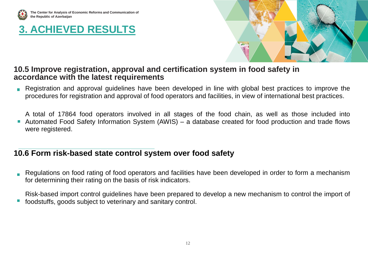

**The Center for Analysis of Economic Reforms and Communication of the Republic of Azerbaijan**

### **3. ACHIEVED RESULTS**



#### **10.5 Improve registration, approval and certification system in food safety in accordance with the latest requirements**

Registration and approval guidelines have been developed in line with global best practices to improve the  $\mathcal{C}^{\mathcal{A}}$ procedures for registration and approval of food operators and facilities, in view of international best practices.

A total of 17864 food operators involved in all stages of the food chain, as well as those included into Automated Food Safety Information System (AWIS) – a database created for food production and trade flows  $\mathcal{L}_{\mathcal{A}}$ were registered.

#### **10.6 Form risk-based state control system over food safety**

Regulations on food rating of food operators and facilities have been developed in order to form a mechanism for determining their rating on the basis of risk indicators.

Risk-based import control guidelines have been prepared to develop a new mechanism to control the import of

foodstuffs, goods subject to veterinary and sanitary control.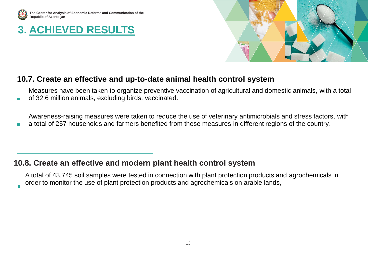

×

**The Center for Analysis of Economic Reforms and Communication of the Republic of Azerbaijan**

### **3. ACHIEVED RESULTS**



#### **10.7. Create an effective and up-to-date animal health control system**

Measures have been taken to organize preventive vaccination of agricultural and domestic animals, with a total of 32.6 million animals, excluding birds, vaccinated.

Awareness-raising measures were taken to reduce the use of veterinary antimicrobials and stress factors, with

a total of 257 households and farmers benefited from these measures in different regions of the country. п

#### **10.8. Create an effective and modern plant health control system**

A total of 43,745 soil samples were tested in connection with plant protection products and agrochemicals in order to monitor the use of plant protection products and agrochemicals on arable lands,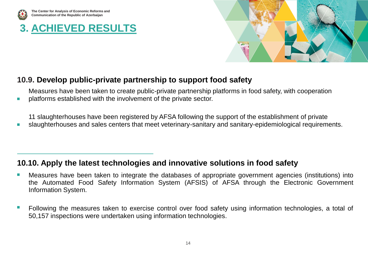

×

**The Center for Analysis of Economic Reforms and Communication of the Republic of Azerbaijan**

# **3. ACHIEVED RESULTS**



#### **10.9. Develop public-private partnership to support food safety**

Measures have been taken to create public-private partnership platforms in food safety, with cooperation platforms established with the involvement of the private sector.

11 slaughterhouses have been registered by AFSA following the support of the establishment of private

slaughterhouses and sales centers that meet veterinary-sanitary and sanitary-epidemiological requirements.  $\overline{\phantom{a}}$ 

### **10.10. Apply the latest technologies and innovative solutions in food safety**

- Measures have been taken to integrate the databases of appropriate government agencies (institutions) into Ŀ. the Automated Food Safety Information System (AFSIS) of AFSA through the Electronic Government Information System.
- П Following the measures taken to exercise control over food safety using information technologies, a total of 50,157 inspections were undertaken using information technologies.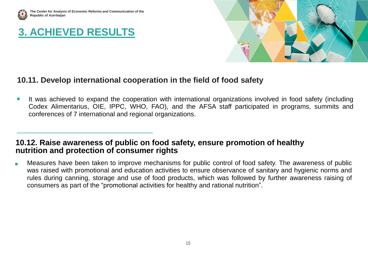



#### **10.11. Develop international cooperation in the field of food safety**

It was achieved to expand the cooperation with international organizations involved in food safety (including  $\mathbb{R}^3$ Codex Alimentarius, OIE, IPPC, WHO, FAO), and the AFSA staff participated in programs, summits and conferences of 7 international and regional organizations.

#### **10.12. Raise awareness of public on food safety, ensure promotion of healthy nutrition and protection of consumer rights**

Measures have been taken to improve mechanisms for public control of food safety. The awareness of public was raised with promotional and education activities to ensure observance of sanitary and hygienic norms and rules during canning, storage and use of food products, which was followed by further awareness raising of consumers as part of the "promotional activities for healthy and rational nutrition".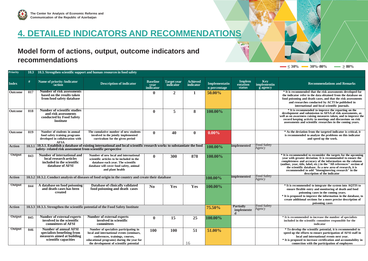

### **4. DETAILED INDICATORS AND RECOMMENDATIONS**

#### **Model form of actions, output, outcome indicators and recommendations**

| Priority      |        | 10.3 10.3. Strengthen scientific support and human resources in food safety                                                                                                       |                                                                                                                                                                                                                 |                                      |                                 |                              |                                                |                                     |                                |                                                                                                                                                                                                                                                                                                                                                                                                                            |
|---------------|--------|-----------------------------------------------------------------------------------------------------------------------------------------------------------------------------------|-----------------------------------------------------------------------------------------------------------------------------------------------------------------------------------------------------------------|--------------------------------------|---------------------------------|------------------------------|------------------------------------------------|-------------------------------------|--------------------------------|----------------------------------------------------------------------------------------------------------------------------------------------------------------------------------------------------------------------------------------------------------------------------------------------------------------------------------------------------------------------------------------------------------------------------|
| <b>Index</b>  | #      | Name of priority /indicator<br>/action                                                                                                                                            | <b>Description of indicator</b>                                                                                                                                                                                 | <b>Baseline</b><br>year<br>indicator | <b>Target year</b><br>indicator | <b>Achieved</b><br>indicator | Implementatio<br>n percentage                  | Implem<br>entation<br><b>status</b> | Key<br>implementin<br>g agency | <b>Recommendations and Remarks</b>                                                                                                                                                                                                                                                                                                                                                                                         |
| Outcome       | 017    | <b>Number of risk assessments</b><br>based on the results taken<br>from food safety database                                                                                      |                                                                                                                                                                                                                 | $\bf{0}$                             | $\overline{2}$                  | 1                            | 50.00%                                         |                                     |                                | * It is recommended that the risk assessments developed for<br>the indicator refer to the data obtained from the database on<br>food poisoning and death cases, and that the risk assessments<br>and researches conducted by ACTI be published in<br>international and local scientific journals.                                                                                                                          |
| Outcome       | 018    | Number of scientific studies<br>and risk assessments<br>conducted by Food Safety<br>Institute                                                                                     |                                                                                                                                                                                                                 | $\bf{0}$                             | 5                               | 8                            | 100.00%                                        |                                     |                                | * It is recommended to improve the reporting on the<br>development and submission to AFSA of risk assessments, as<br>well as on awareness raising measures taken, and to improve the<br>record keeping activity in meetings and discussions on risk<br>assessments and scientific researches in the coming years.                                                                                                          |
| Outcome       | 019    | Number of students in annual<br>food safety training programs<br>developed in collaboration with<br><b>AFSA</b>                                                                   | The cumulative number of new students<br>involved in the jointly implemented<br>curriculum for the given period                                                                                                 | $\mathbf{0}$                         | 40                              | $\mathbf{0}$                 | $0.00\%$                                       |                                     |                                | * As the deviation from the targeted indicator is critical, it<br>is recommended to analyze the problems on this indicator<br>and speed up the work.                                                                                                                                                                                                                                                                       |
| Action        | 10.3.1 | 10.3.1. Establish a database of existing international and local scientific research works to substantiate the food<br>safety-related risk assessment from scientific perspective |                                                                                                                                                                                                                 |                                      |                                 | 100.00%                      | implemented                                    | <b>Food Safety</b><br>Agency        |                                |                                                                                                                                                                                                                                                                                                                                                                                                                            |
| <b>Output</b> | 043    | Number of international and<br>local research articles<br>included in the scientific<br>database of AFSI                                                                          | Number of new local and international<br>scientific articles to be included in the<br>database each year. The scientific<br>database will cover food safety, animal<br>and plant health                         | $\mathbf{0}$                         | 300                             | 878                          | 100.00%                                        |                                     |                                | * It is recommended to reconsider the targets for the upcoming<br>year with greater deviation. It is recommended to ensure the<br>completeness and accuracy of the information on the columns<br>(author, year, title, label, etc.) in the "All references" section of<br>the scientific database. As a new area of research, it is<br>recommended to add "bioengineering research" in the<br>description of the indicator |
| Action        |        | 10.3.2 10.3.2. Conduct analysis of diseases of food origin in the country and create their database                                                                               |                                                                                                                                                                                                                 |                                      |                                 | 100.00%                      | implemented                                    | <b>Food Safety</b><br>Agency        |                                |                                                                                                                                                                                                                                                                                                                                                                                                                            |
| Output        | 044    | A database on food poisoning<br>and death cases has been<br>created                                                                                                               | Database of clinically validated<br>food poisoning and death cases                                                                                                                                              | $\bf No$                             | Yes                             | Yes                          | 100.00%                                        |                                     |                                | * It is recommended to integrate the system into AQTIS to<br>ensure flexible entry and monitoring of death and food<br>poisoning cases in the coming years.<br>* It is proposed to improve the information in the database, to<br>create additional sections for a more precise description of<br>poisoning cases                                                                                                          |
| Action        |        | 10.3.3 10.3.3. Strengthen the scientific potential of the Food Safety Institute                                                                                                   |                                                                                                                                                                                                                 |                                      |                                 | 75.50%                       | <b>Partially</b><br>implemente<br><sub>d</sub> | <b>Food Safety</b><br>Agency        |                                |                                                                                                                                                                                                                                                                                                                                                                                                                            |
| Output        | 045    | <b>Number of external experts</b><br>involved in the scientific<br>committees of AFSI                                                                                             | <b>Number of external experts</b><br>involved in scientific<br>committees                                                                                                                                       | $\mathbf{0}$                         | 15                              | 25                           | 100.00%                                        |                                     |                                | * It is recommended to increase the number of specialists<br>included in the scientific committee responsible for the<br>indicator                                                                                                                                                                                                                                                                                         |
| Output        | 046    | <b>Number of annual AFSI</b><br>specialists benefiting from<br>measures aimed at building<br>scientific capacities                                                                | Number of specialists participating in<br>local and international events (seminars,<br>conferences, trainings, courses,<br>educational programs) during the year for<br>the development of scientific potential | <b>100</b>                           | <b>100</b>                      | 51<br>16                     | 51.00%                                         |                                     |                                | * To develop the scientific potential, it is recommended to<br>speed up the efforts to ensure participation of AFSI staff in<br>local and international events next vear.<br>* It is proposed to increase certification and accountability in<br>connection with the participation of employees                                                                                                                            |

 $\sim$   $\leq$  30%  $\sim$  30%–80%